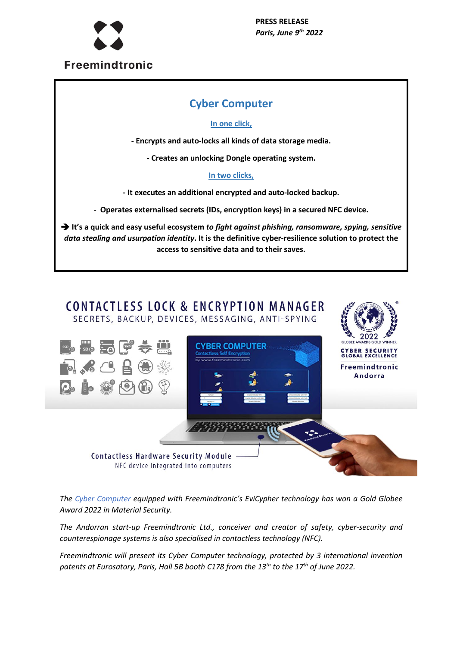

# **Cyber Computer**

#### **In one click,**

**- Encrypts and auto-locks all kinds of data storage media.** 

**- Creates an unlocking Dongle operating system.**

#### **In two clicks,**

**- It executes an additional encrypted and auto-locked backup.**

**- Operates externalised secrets (IDs, encryption keys) in a secured NFC device.**

 **It's a quick and easy useful ecosystem** *to fight against phishing, ransomware, spying, sensitive data stealing and usurpation identity***. It is the definitive cyber-resilience solution to protect the access to sensitive data and to their saves.** 



*The Cyber Computer equipped with Freemindtronic's EviCypher technology has won a Gold Globee Award 2022 in Material Security.*

*The Andorran start-up Freemindtronic Ltd., conceiver and creator of safety, cyber-security and counterespionage systems is also specialised in contactless technology (NFC).*

*Freemindtronic will present its Cyber Computer technology, protected by 3 international invention patents at Eurosatory, Paris, Hall 5B booth C178 from the 13th to the 17th of June 2022.*